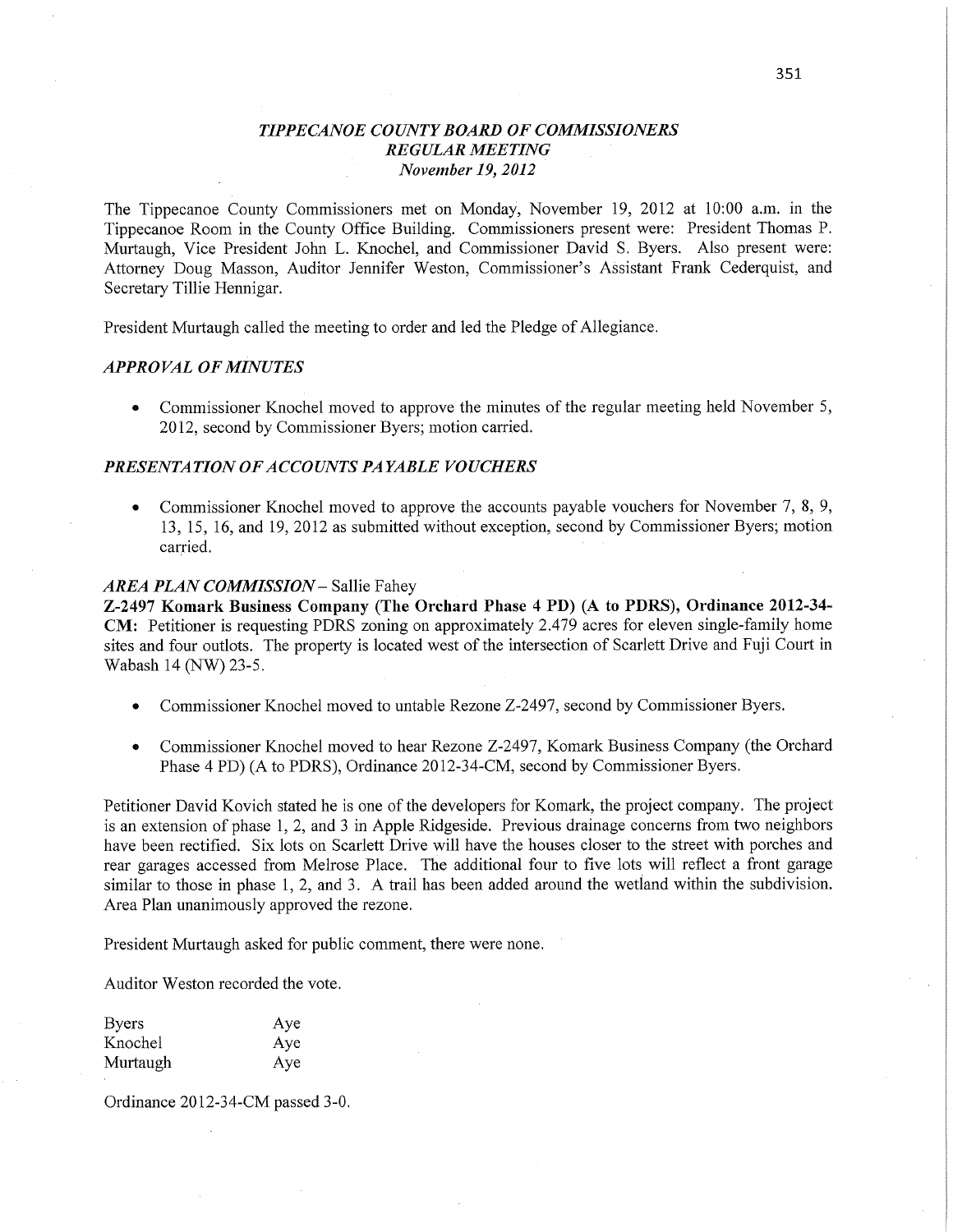### *T IPPE CANOE COUNTY BOARD* OF *COMMISSIONERS REGULAR MEETING* ' *November* 19, *2012*

The Tippecanoe County Commissioners met on Monday, November 19, 2012 at 10:00 **am.** in the Tippecanoe Room in the County Office Building. Commissioners present were: President Thomas P. Murtaugh, Vice President John L. Knochel, and Commissioner David S. Byers. Also present were: Attorney Doug Masson, Auditor Jennifer Weston, Commissioner's Assistant Frank Cederquist, and Secretary Tillie Hennigar.

President Murtaugh called the meeting to order and led the Pledge of Allegiance.

#### *APPRO* VAL OF *MINUTES*

**0** Commissioner Knochel moved to approve the minutes of the regular meeting held November 5, 2012, second by Commissioner Byers; motion carried.

## **PRESENTATION OF ACCOUNTS PAYABLE VOUCHERS**

Commissioner Knochel moved to approve the accounts payable vouchers for November 7, 8, 9, 13, 15, 16, and 19, 2012 as submitted without exception, second by Commissioner Byers; **motion**   $carried.$ 

### *AREA PLAN COMMISSION* **—** Sallie Fahey

**Z-2497 Komark** Business **Company (The Orchard Phase 4** PD) (A to PDRS), **Ordinance 2012-34-**  CM: Petitioner is requesting PDRS zoning on approximately 2.479 acres for eleven single-family home sites and four outlots. The property is located west of the intersection of Scarlett Drive and **Fuji** Court in Wabash 14 (NW) 23-5.

- *0* Commissioner Knochel moved to untable Rezone Z-2497, second by Commissioner Byers.
- **•** Commissioner Knochel moved to hear Rezone Z-2497, Komark Business Company (the Orchard Phase 4 PD) (A to PDRS), Ordinance 2012-34-CM, second by Commissioner Byers.

Petitioner David Kovich stated he is one of the developers for Komark, the project company. The project is an extension of phase 1, 2, and 3 in Apple Ridgeside. Previous drainage concerns from two neighbors have been rectified. Six lots on Scarlett **Drive** will have the houses closer to the street with porches and rear garages accessed from Melrose Place. The additional four to five lots will reflect a front garage similar to those in phase 1, 2, and 3. A trail has been added around the wetland within the subdivision. Area Plan unanimously approved the rezone.

President Murtaugh asked for public comment, there were none.

Auditor Weston recorded the vote.

| <b>Byers</b> | Aye |
|--------------|-----|
| Knochel      | Aye |
| Murtaugh     | Aye |

Ordinance 2012-34—CM passed **3—0.**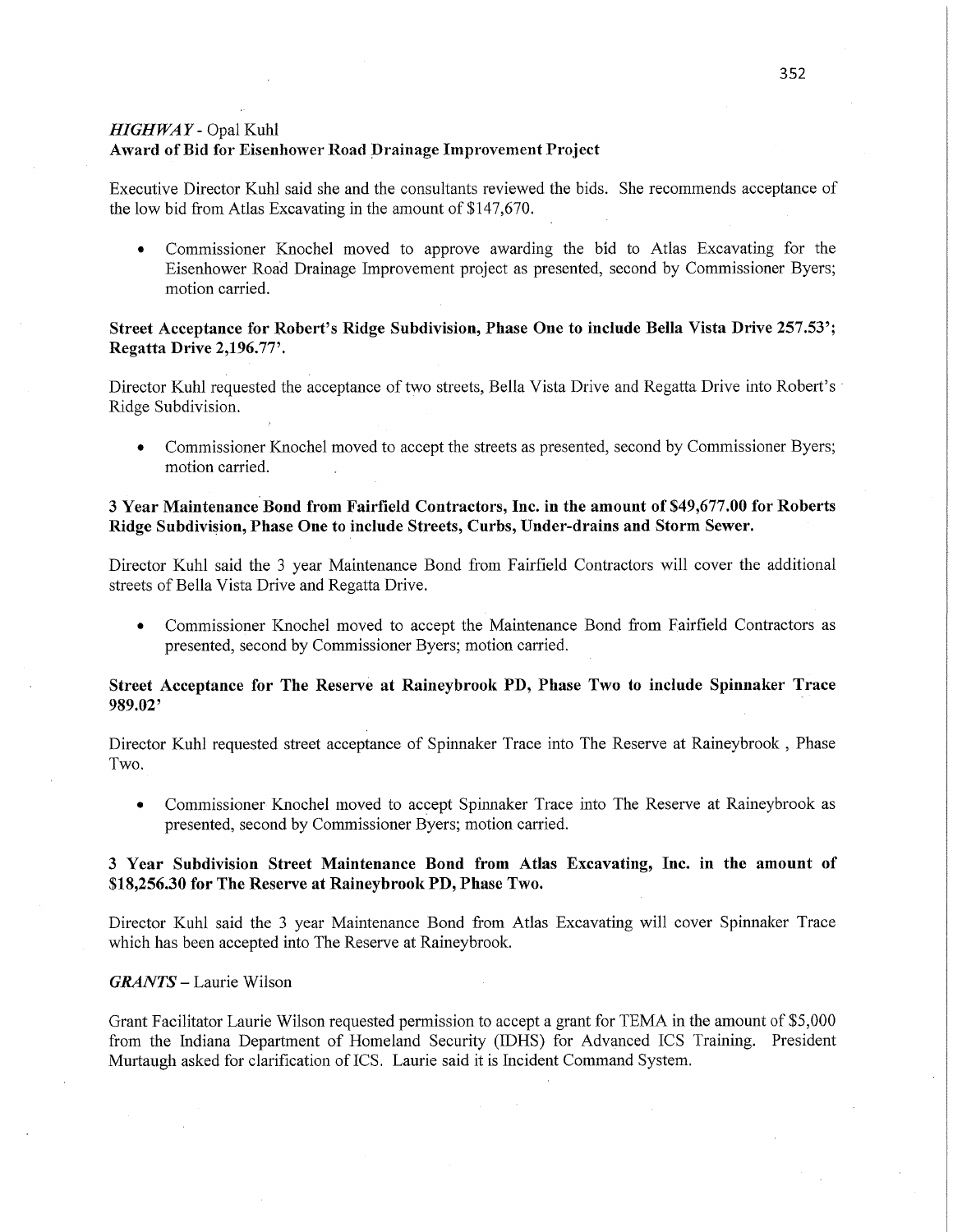### *HIGHWAY -* Opal Kuhl **Award** of Bid for Eisenhower **Road Drainage** Improvement **Project**

Executive Director Kuhl said she and the consultants reviewed the bids. She recommends acceptance of the low bid from Atlas Excavating in the amount of \$147,670.

**0** Commissioner Knochel moved to approve awarding the bid to Atlas Excavating for the Eisenhower Road Drainage Improvement project as presented, second by Commissioner Byers; motion carried.

# **Street Acceptance** for **Robert's** Ridge Subdivision, **Phase** One to **include Bella Vista Drive 257.53'; Regatta Drive 2,196.77** '.

Director Kuhl requested the acceptance of two streets, Bella Vista Drive and Regatta Drive into Robert's ' Ridge Subdivision.

**0** Commissioner Knochel moved to accept the streets as presented, second by Commissioner Byers; motion carried.

## 3 **Year** Maintenance'Bond **from** Fairfield Contractors, **Inc.** in the **amount** of **\$49,677.00** for **Roberts Ridge** Subdivision, **Phase** One to include **Streets, Curbs, Under-drains** and **Storm Sewer.**

Director Kuhl said the 3 year Maintenance Bond from Fairfield Contractors will cover the additional streets of Bella Vista Drive and Regatta Drive.

**0** Commissioner Knochel moved to accept the'Maintenance Bond fiom Fairfield Contractors as presented, second by Commissioner Byers; motion carried.

### **Street Acceptance** for The **Reserve** at **Raineybrook** PD, **Phase** Two to **include Spinnaker Trace 989.02' '**

Director Kuhl requested street accepfance of Spinnaker Trace into The Reserve at Raineybrook , Phase Two.

• Commissioner Knochel moved to accept Spinnaker Trace into The Reserve at Raineybrook as presented, second by Commissioner Byers; motion carried.

## **3 Year Subdivision Street** Maintenance **Bond** from **Atlas Excavating, Inc.** in the **amount** of **\$18,256.30** for The **Reserve** at **Raineybrook** PD, **Phase Two.**

Director Kuhl said the 3 year Maintenance Bond from Atlas Excavating will cover Spinnaker Trace which has been accepted into The Reserve at Raineybrook.

#### *GRANTS* **—** Laurie Wilson

Grant Facilitator Laurie Wilson requested permission to accept **a** grant for TEMA in the amount of \$5,000 from the Indiana Department of Homeland Security (IDHS) for Advanced ICS Training. President Murtaugh asked for clarification of ICS. Laurie said it is Incident Command System.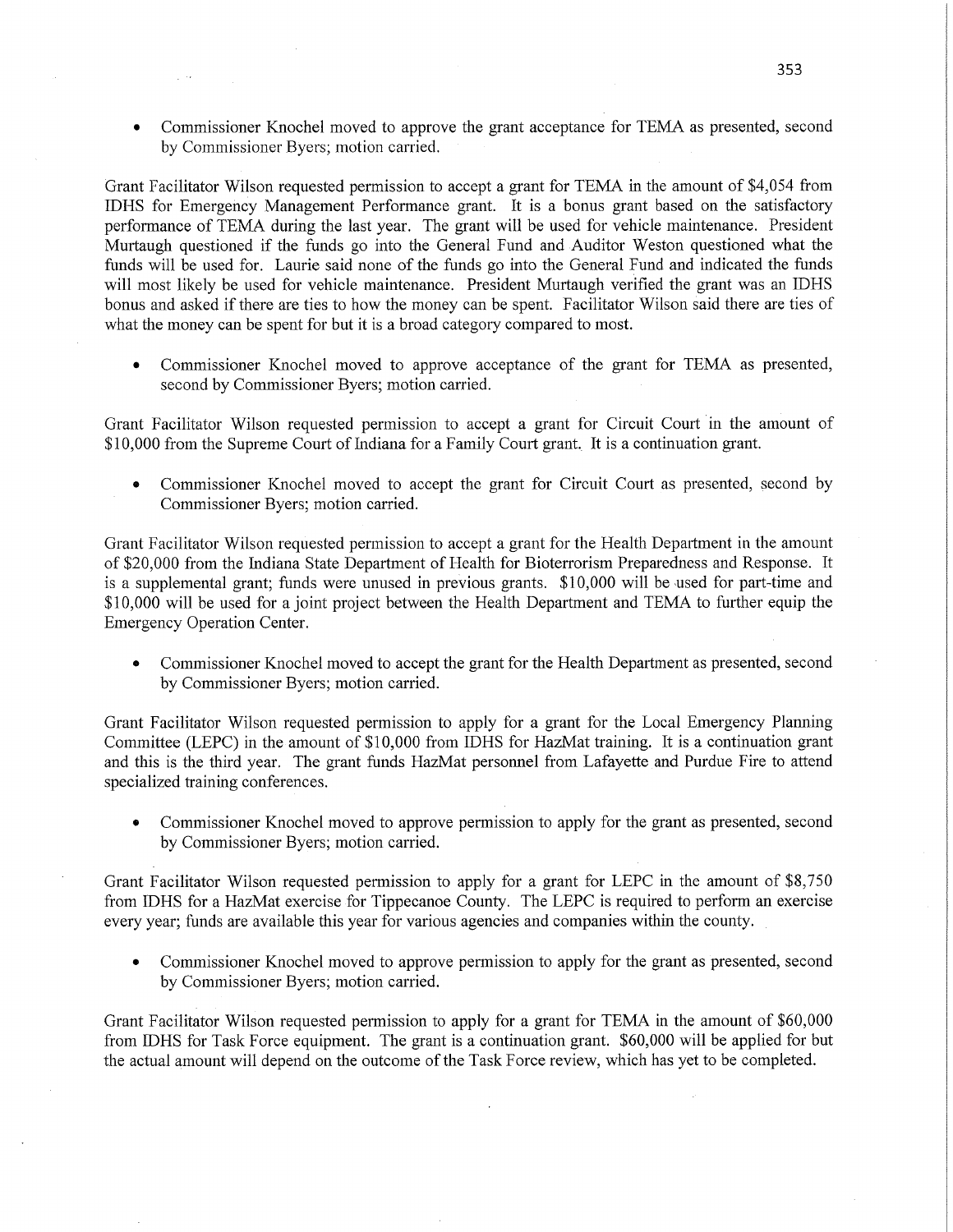*0* Commissioner Knochel moved to approve the grant acceptance for TEMA as presented, second by Commissioner Byers; motion carried.

Grant Facilitator Wilson requested permission to accept a grant for TEMA in the amount of \$4,054 from IDHS for Emergency Management Performance grant. It is **a** bonus grant based on the satisfactory performance of TEMA during the last year. The grant will be used for vehicle maintenance. President Murtaugh questioned if the funds go into the General Fund and Auditor Weston questioned what the funds will be used for. Laurie said none of the funds go into the General Fund and indicated the funds will most likely be used for vehicle maintenance. President Murtaugh verified the grant was an IDHS bonus and asked if there are ties to how the money can be spent. Facilitator Wilson **Said** there are ties of what the money can be spent for but it is a broad category compared to most.

**0** Commissioner Knochel moved to approve acceptance of the grant for TEMA as presented, second by Commissioner Byers; motion carried. '

Grant Facilitator Wilson requested permission to accept a grant for Circuit Court 'in the amount of \$10,000 from the Supreme Court of Indiana for a Family Court grant. It is a continuation grant.

**0** Commissioner Knochel moved to accept the grant for Circuit Court as presented, second by Commissioner Byers; motion carried.

Grant Facilitator Wilson requested permission to accept a grant for the Health Department in the amount of \$20,000 from the Indiana State Department of Health for Bioterrorism Preparedness and Response. It is a supplemental grant; funds were unused in previous grants. \$10,000 will be used for part-time and \$10,000 will be used for a joint project between the Health Department and TEMA to further equip the Emergency Operation Center.

**0** Commissioner Knochel moved to accept the grant for the Health Department as presented, second by Commissioner Byers; motion carried.

Grant Facilitator Wilson requested permission to apply for a grant for the Local Emergency Flaming Committee (LEPC) in the amount of \$10,000 from IDHS for HazMat training. It is a continuation grant and **this** is the third year. The grant **funds** HazMat personnel from Lafayette and Purdue Fire to attend specialized training conferences.

**0** Commissioner Knochel moved to approve permission to apply for the grant as presented, second by Commissioner Byers; motion carried.

Grant Facilitator Wilson requested permission to apply for a grant for LEPC in the amount of \$8,750 from IDHS for a HazMat exercise for Tippecanoe County. The LEPC is required to perform an exercise every year; funds are available this year for various agencies and companies within the county. '

**0** Commissioner Knochel moved to approve permission to apply for the grant as presented, second by Commissioner Byers; motion carried.

Grant Facilitator Wilson requested permission to apply for a grant for TEMA in the amount of \$60,000 from IDHS for Task Force equipment. The grant is a continuation grant. \$60,000 will be applied for but the actual amount will depend on the outcome of the Task Force review, which has yet to be completed.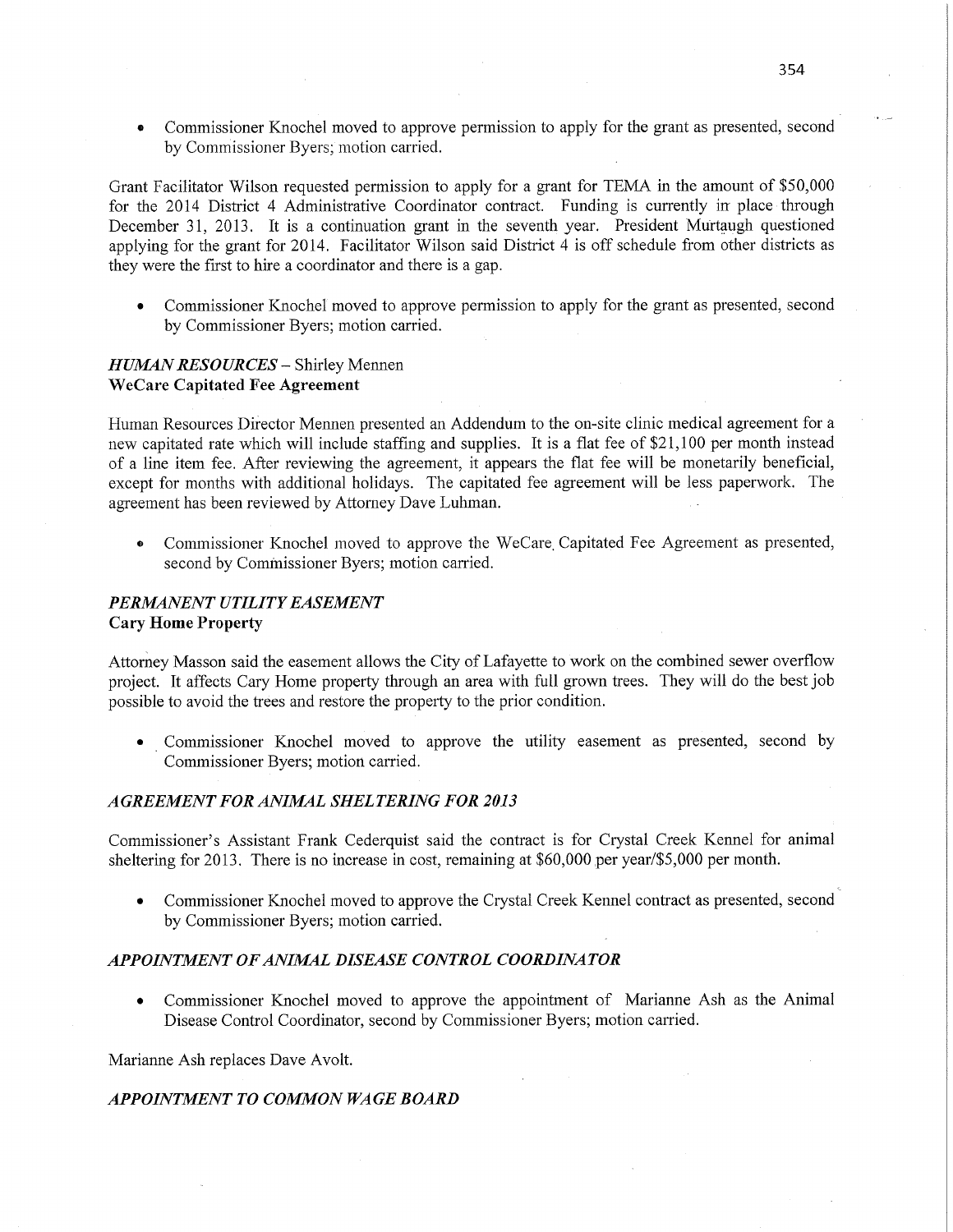**0** Commissioner Knochel moved to approve permission to apply for the grant as presented, second **i**  by Commissioner Byers; motion carried.

Grant Facilitator Wilson requested permission to apply for a grant for TEMA in the amount of \$50,000 for the 2014 District 4 Administrative Coordinator contract. Funding is currently in place-through December 31, 2013. It is a continuation grant in the seventh year. President Murtaugh questioned applying for the grant for 2014. Facilitator Wilson said District 4 is off schedule from other **districts** as they were the first to hire a coordinator and there is a gap.

**0** Commissioner Knochel moved to approve permission to apply for the grant as presented, second by Commissioner Byers; motion **carried.** 

## *HUMN RESOURCES —* Shirley **Mennen WeCare Capitated** Fee **Agreement**

Human Resources Difector Mennen presented an Addendum to the on-site clinic medical agreement for **<sup>a</sup>** new capitated rate which will include staffing and supplies. It is a flat fee of \$21,100 per month instead of a line item fee. After reviewing the agreement, it appears the flat fee will be monetarily beneficial, except for months with additional holidays. The capitated fee agreement will be **less** paperwork. The agreement has been reviewed by Attorney Dave Luhman.

**0** Commissioner Knochel moved to approve the WeCare, Capitated Fee Agreement as presented, second by Commissioner Byers; motion carried.

# *PERMANENT UTILITY EASEMENT*  **Cary** Home **Property**

Attorhey Masson said the easement allows the City of Lafayette to work on the combined sewer overflow project. It affects Cary Home property through an **area** with full grown trees. They will do the best job possible to avoid the trees and restore the property to the prior condition.

• Commissioner Knochel moved to approve the utility easement as presented, second by Commissioner Byers; motion carried.

## *AGREEMENT* FOR *ANIMAL SHEL TERIN G* FOR *2013*

Commissioner's Assistant Frank Cederquist said the **contract** is for Crystal Creek Kennel for animal sheltering for 2013. There is no increase in cost, remaining at \$60,000 per year/\$5,000 per month.

Commissioner Knochel moved to approve the Crystal Creek Kennel contract as presented, second by Commissioner Byers; motion carried.

### *APPOINTJVIEN T OFANIJWAL DISEASE CONTROL COORDINATOR*

*0* Commissioner Knochel moved to approve the appointment of Marianne Ash as the Animal Disease Control Coordinator, second by Commissioner Byers; motion carried.

Marianne Ash replaces Dave Avolt.

### **APPOINTMENT TO COMMON WAGE BOARD**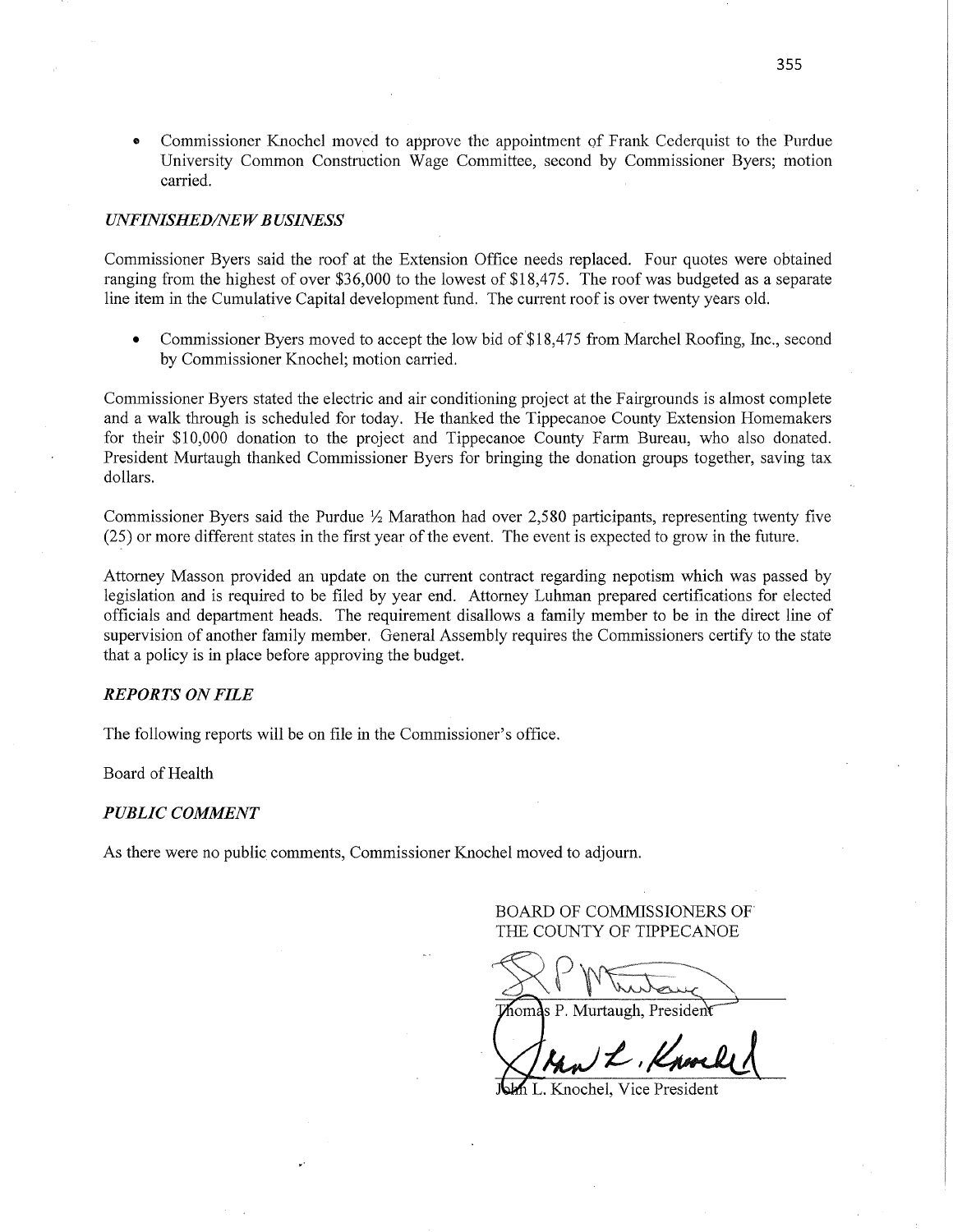**0** Commissioner Knochel moved to approve the appointment of Frank Cederquist to the Purdue University Common Construction Wage Committee, second by Commissioner Byers; motion carried.

#### *UNFINISHED/NEW BUSINESS*

Commissioner Byers said the roof at the Extension Office needs replaced. Four quotes were obtained ranging from the highest of over \$36,000 to the lowest of \$18,475. The roof was budgeted as a separate line item in the Cumulative Capital development fund. The current roof is over twenty years **old.** 

**0** Commissioner Byers moved to accept the low bid of \$18,475 from Marchel Roofing, Inc,, second by Commissioner Knochel; motion carried.

Commissioner Byers stated the electric and air conditioning project at the Fairgrounds is almost complete and a walk through is scheduled for today. He thanked the Tippecanoe County Extension Homemakers for their \$10,000 donation to the project and Tippecanoe County Farm Bureau, who also donated. President Murtaugh thanked Commissioner Byers for bringing the donation groups together, saving tax dollars.

Commissioner Byers said the Purdue  $\frac{1}{2}$  Marathon had over 2,580 participants, representing twenty five (25) or more different states in the first year of the event. The event is expected to grow in the future.

Attorney Masson provided an update on the current contract regarding nepotism which was passed by legislation and is required to be filed by year end. Attorney Luhman prepared certifications for elected officials and department heads. The requirement disallows **a** family member to be in the direct line of supervision of another family member. General Assembly requires the Commissioners certify to the state that <sup>a</sup>policy is in place before approving the budget.

#### *REPORTS* ON *FILE*

The following reports will be on file in the Commissioner's office.

Board of Health

#### *PUBLIC COMMENT*

As there were no public comments, Commissioner Knochel moved to adjourn.

BOARD OF COMMISSIONERS OF' THE COUNTY OF TIPPECANOE

 $\noindent \longrightarrow \text{PWToutaux} \longrightarrow \text{P. Murtaugh, President}$ 

Stan L. Knocke

Knochel, Vice President